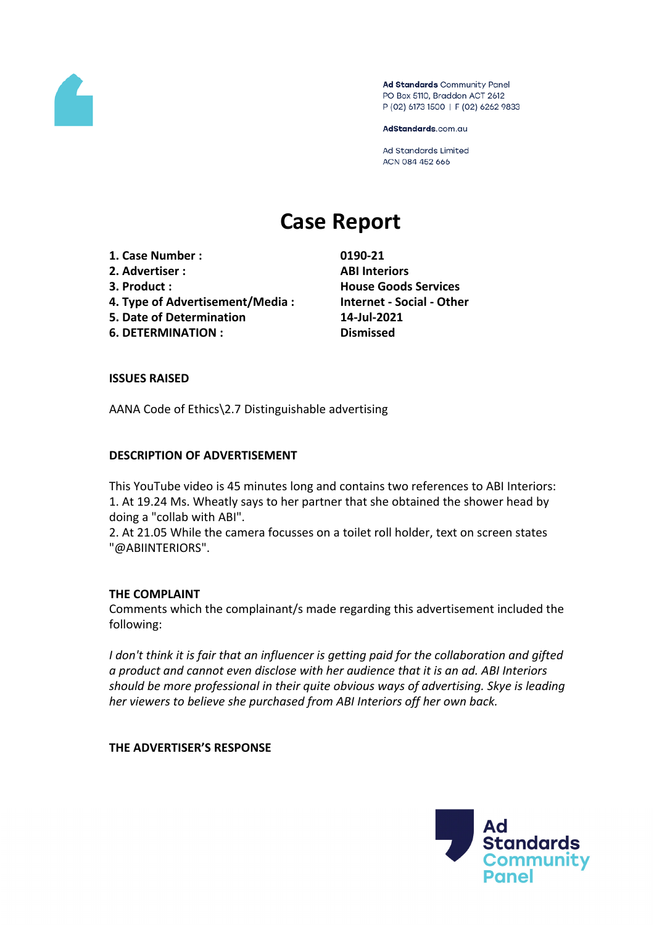

Ad Standards Community Panel PO Box 5110, Braddon ACT 2612 P (02) 6173 1500 | F (02) 6262 9833

AdStandards.com.au

Ad Standards Limited ACN 084 452 666

# **Case Report**

- **1. Case Number : 0190-21**
- **2. Advertiser : ABI Interiors**
- 
- **4. Type of Advertisement/Media : Internet - Social - Other**
- **5. Date of Determination 14-Jul-2021**
- **6. DETERMINATION : Dismissed**

**3. Product : House Goods Services**

# **ISSUES RAISED**

AANA Code of Ethics\2.7 Distinguishable advertising

# **DESCRIPTION OF ADVERTISEMENT**

This YouTube video is 45 minutes long and contains two references to ABI Interiors: 1. At 19.24 Ms. Wheatly says to her partner that she obtained the shower head by doing a "collab with ABI".

2. At 21.05 While the camera focusses on a toilet roll holder, text on screen states "@ABIINTERIORS".

### **THE COMPLAINT**

Comments which the complainant/s made regarding this advertisement included the following:

*I don't think it is fair that an influencer is getting paid for the collaboration and gifted a product and cannot even disclose with her audience that it is an ad. ABI Interiors should be more professional in their quite obvious ways of advertising. Skye is leading her viewers to believe she purchased from ABI Interiors off her own back.*

**THE ADVERTISER'S RESPONSE**

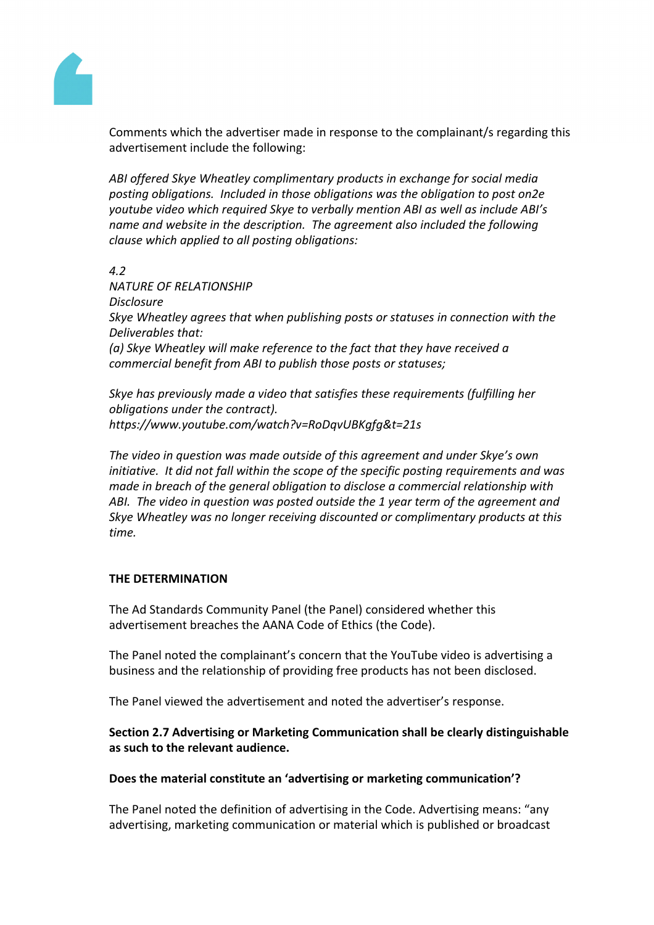

Comments which the advertiser made in response to the complainant/s regarding this advertisement include the following:

*ABI offered Skye Wheatley complimentary products in exchange for social media posting obligations. Included in those obligations was the obligation to post on2e youtube video which required Skye to verbally mention ABI as well as include ABI's name and website in the description. The agreement also included the following clause which applied to all posting obligations:*

*4.2*

*NATURE OF RELATIONSHIP Disclosure Skye Wheatley agrees that when publishing posts or statuses in connection with the Deliverables that:*

*(a) Skye Wheatley will make reference to the fact that they have received a commercial benefit from ABI to publish those posts or statuses;*

*Skye has previously made a video that satisfies these requirements (fulfilling her obligations under the contract). https://www.youtube.com/watch?v=RoDqvUBKgfg&t=21s*

*The video in question was made outside of this agreement and under Skye's own initiative. It did not fall within the scope of the specific posting requirements and was made in breach of the general obligation to disclose a commercial relationship with ABI. The video in question was posted outside the 1 year term of the agreement and Skye Wheatley was no longer receiving discounted or complimentary products at this time.*

### **THE DETERMINATION**

The Ad Standards Community Panel (the Panel) considered whether this advertisement breaches the AANA Code of Ethics (the Code).

The Panel noted the complainant's concern that the YouTube video is advertising a business and the relationship of providing free products has not been disclosed.

The Panel viewed the advertisement and noted the advertiser's response.

**Section 2.7 Advertising or Marketing Communication shall be clearly distinguishable as such to the relevant audience.**

### **Does the material constitute an 'advertising or marketing communication'?**

The Panel noted the definition of advertising in the Code. Advertising means: "any advertising, marketing communication or material which is published or broadcast